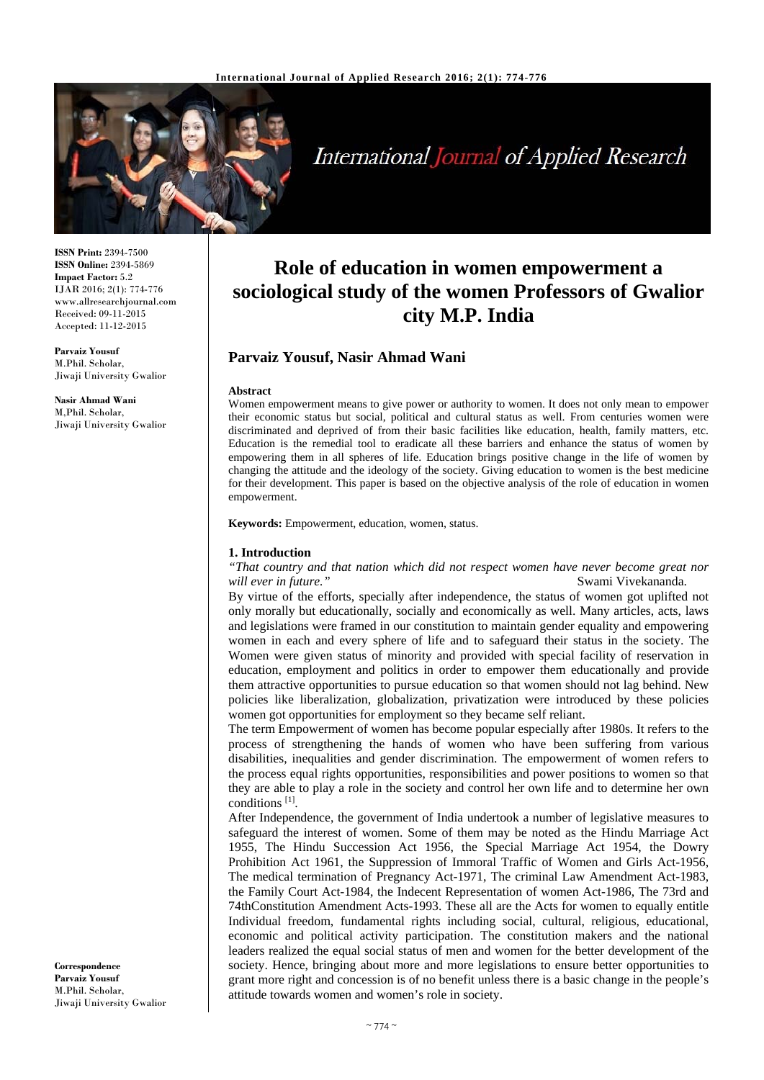

International Journal of Applied Research

**ISSN Print:** 2394-7500 **ISSN Online:** 2394-5869 **Impact Factor:** 5.2 IJAR 2016; 2(1): 774-776 www.allresearchjournal.com Received: 09-11-2015 Accepted: 11-12-2015

**Parvaiz Yousuf**  M.Phil. Scholar, Jiwaji University Gwalior

**Nasir Ahmad Wani**  M,Phil. Scholar, Jiwaji University Gwalior

**Role of education in women empowerment a sociological study of the women Professors of Gwalior city M.P. India**

# **Parvaiz Yousuf, Nasir Ahmad Wani**

### **Abstract**

Women empowerment means to give power or authority to women. It does not only mean to empower their economic status but social, political and cultural status as well. From centuries women were discriminated and deprived of from their basic facilities like education, health, family matters, etc. Education is the remedial tool to eradicate all these barriers and enhance the status of women by empowering them in all spheres of life. Education brings positive change in the life of women by changing the attitude and the ideology of the society. Giving education to women is the best medicine for their development. This paper is based on the objective analysis of the role of education in women empowerment.

**Keywords:** Empowerment, education, women, status.

## **1. Introduction**

*"That country and that nation which did not respect women have never become great nor will ever in future."* **Swami Vivekananda. Swami Vivekananda.** 

By virtue of the efforts, specially after independence, the status of women got uplifted not only morally but educationally, socially and economically as well. Many articles, acts, laws and legislations were framed in our constitution to maintain gender equality and empowering women in each and every sphere of life and to safeguard their status in the society. The Women were given status of minority and provided with special facility of reservation in education, employment and politics in order to empower them educationally and provide them attractive opportunities to pursue education so that women should not lag behind. New policies like liberalization, globalization, privatization were introduced by these policies women got opportunities for employment so they became self reliant.

The term Empowerment of women has become popular especially after 1980s. It refers to the process of strengthening the hands of women who have been suffering from various disabilities, inequalities and gender discrimination. The empowerment of women refers to the process equal rights opportunities, responsibilities and power positions to women so that they are able to play a role in the society and control her own life and to determine her own conditions [1].

After Independence, the government of India undertook a number of legislative measures to safeguard the interest of women. Some of them may be noted as the Hindu Marriage Act 1955, The Hindu Succession Act 1956, the Special Marriage Act 1954, the Dowry Prohibition Act 1961, the Suppression of Immoral Traffic of Women and Girls Act-1956, The medical termination of Pregnancy Act-1971, The criminal Law Amendment Act-1983, the Family Court Act-1984, the Indecent Representation of women Act-1986, The 73rd and 74thConstitution Amendment Acts-1993. These all are the Acts for women to equally entitle Individual freedom, fundamental rights including social, cultural, religious, educational, economic and political activity participation. The constitution makers and the national leaders realized the equal social status of men and women for the better development of the society. Hence, bringing about more and more legislations to ensure better opportunities to grant more right and concession is of no benefit unless there is a basic change in the people's attitude towards women and women's role in society.

**Correspondence Parvaiz Yousuf**  M.Phil. Scholar, Jiwaji University Gwalior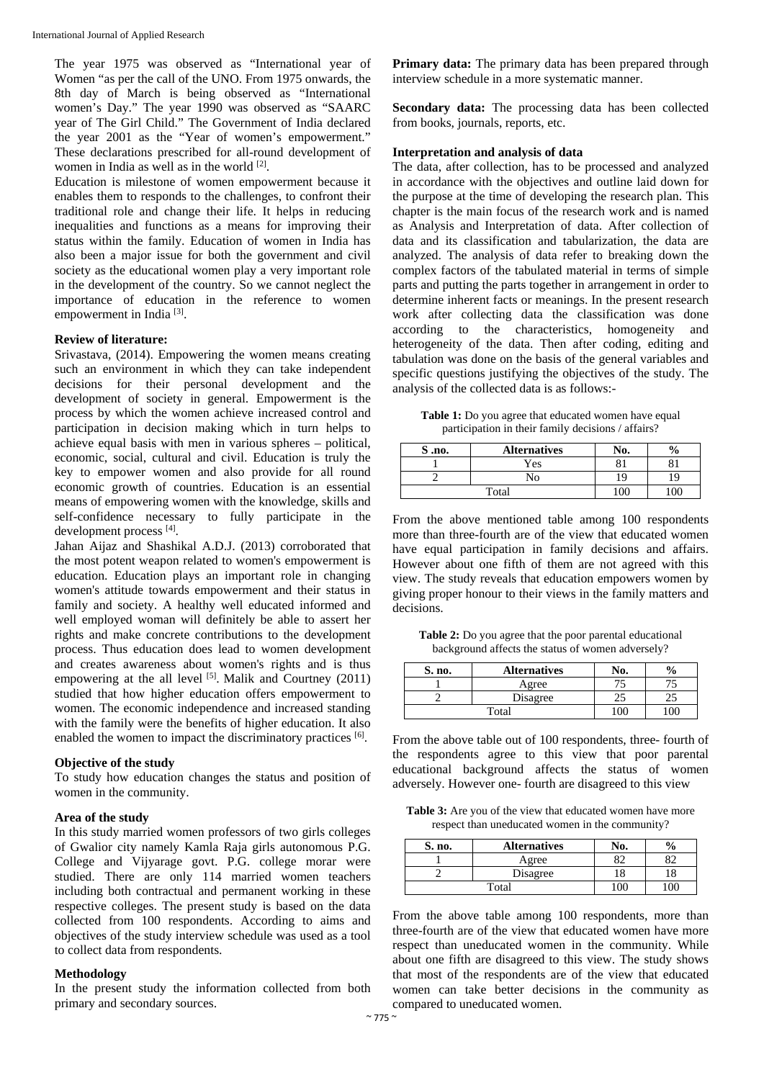The year 1975 was observed as "International year of Women "as per the call of the UNO. From 1975 onwards, the 8th day of March is being observed as "International women's Day." The year 1990 was observed as "SAARC year of The Girl Child." The Government of India declared the year 2001 as the "Year of women's empowerment." These declarations prescribed for all-round development of women in India as well as in the world <sup>[2]</sup>.

Education is milestone of women empowerment because it enables them to responds to the challenges, to confront their traditional role and change their life. It helps in reducing inequalities and functions as a means for improving their status within the family. Education of women in India has also been a major issue for both the government and civil society as the educational women play a very important role in the development of the country. So we cannot neglect the importance of education in the reference to women empowerment in India<sup>[3]</sup>.

#### **Review of literature:**

Srivastava, (2014). Empowering the women means creating such an environment in which they can take independent decisions for their personal development and the development of society in general. Empowerment is the process by which the women achieve increased control and participation in decision making which in turn helps to achieve equal basis with men in various spheres – political, economic, social, cultural and civil. Education is truly the key to empower women and also provide for all round economic growth of countries. Education is an essential means of empowering women with the knowledge, skills and self-confidence necessary to fully participate in the development process [4].

Jahan Aijaz and Shashikal A.D.J. (2013) corroborated that the most potent weapon related to women's empowerment is education. Education plays an important role in changing women's attitude towards empowerment and their status in family and society. A healthy well educated informed and well employed woman will definitely be able to assert her rights and make concrete contributions to the development process. Thus education does lead to women development and creates awareness about women's rights and is thus empowering at the all level  $[5]$ . Malik and Courtney (2011) studied that how higher education offers empowerment to women. The economic independence and increased standing with the family were the benefits of higher education. It also enabled the women to impact the discriminatory practices <sup>[6]</sup>.

### **Objective of the study**

To study how education changes the status and position of women in the community.

#### **Area of the study**

In this study married women professors of two girls colleges of Gwalior city namely Kamla Raja girls autonomous P.G. College and Vijyarage govt. P.G. college morar were studied. There are only 114 married women teachers including both contractual and permanent working in these respective colleges. The present study is based on the data collected from 100 respondents. According to aims and objectives of the study interview schedule was used as a tool to collect data from respondents.

#### **Methodology**

In the present study the information collected from both primary and secondary sources.

**Primary data:** The primary data has been prepared through interview schedule in a more systematic manner.

**Secondary data:** The processing data has been collected from books, journals, reports, etc.

### **Interpretation and analysis of data**

The data, after collection, has to be processed and analyzed in accordance with the objectives and outline laid down for the purpose at the time of developing the research plan. This chapter is the main focus of the research work and is named as Analysis and Interpretation of data. After collection of data and its classification and tabularization, the data are analyzed. The analysis of data refer to breaking down the complex factors of the tabulated material in terms of simple parts and putting the parts together in arrangement in order to determine inherent facts or meanings. In the present research work after collecting data the classification was done according to the characteristics, homogeneity and heterogeneity of the data. Then after coding, editing and tabulation was done on the basis of the general variables and specific questions justifying the objectives of the study. The analysis of the collected data is as follows:-

Table 1: Do you agree that educated women have equal participation in their family decisions / affairs?

| $S$ .no. | <b>Alternatives</b> | No. |  |
|----------|---------------------|-----|--|
|          | Yes                 |     |  |
|          | ח                   |     |  |
|          | Total               |     |  |

From the above mentioned table among 100 respondents more than three-fourth are of the view that educated women have equal participation in family decisions and affairs. However about one fifth of them are not agreed with this view. The study reveals that education empowers women by giving proper honour to their views in the family matters and decisions.

**Table 2:** Do you agree that the poor parental educational background affects the status of women adversely?

| S. no. | <b>Alternatives</b> | NO. |    |
|--------|---------------------|-----|----|
|        | Agree               |     |    |
|        | Disagree            |     | ۷. |
|        | Total               |     |    |

From the above table out of 100 respondents, three- fourth of the respondents agree to this view that poor parental educational background affects the status of women adversely. However one- fourth are disagreed to this view

**Table 3:** Are you of the view that educated women have more respect than uneducated women in the community?

| S. no. | <b>Alternatives</b> |    |
|--------|---------------------|----|
|        | Agree               | o٠ |
|        | Disagree            |    |
|        | Total               |    |

From the above table among 100 respondents, more than three-fourth are of the view that educated women have more respect than uneducated women in the community. While about one fifth are disagreed to this view. The study shows that most of the respondents are of the view that educated women can take better decisions in the community as compared to uneducated women.